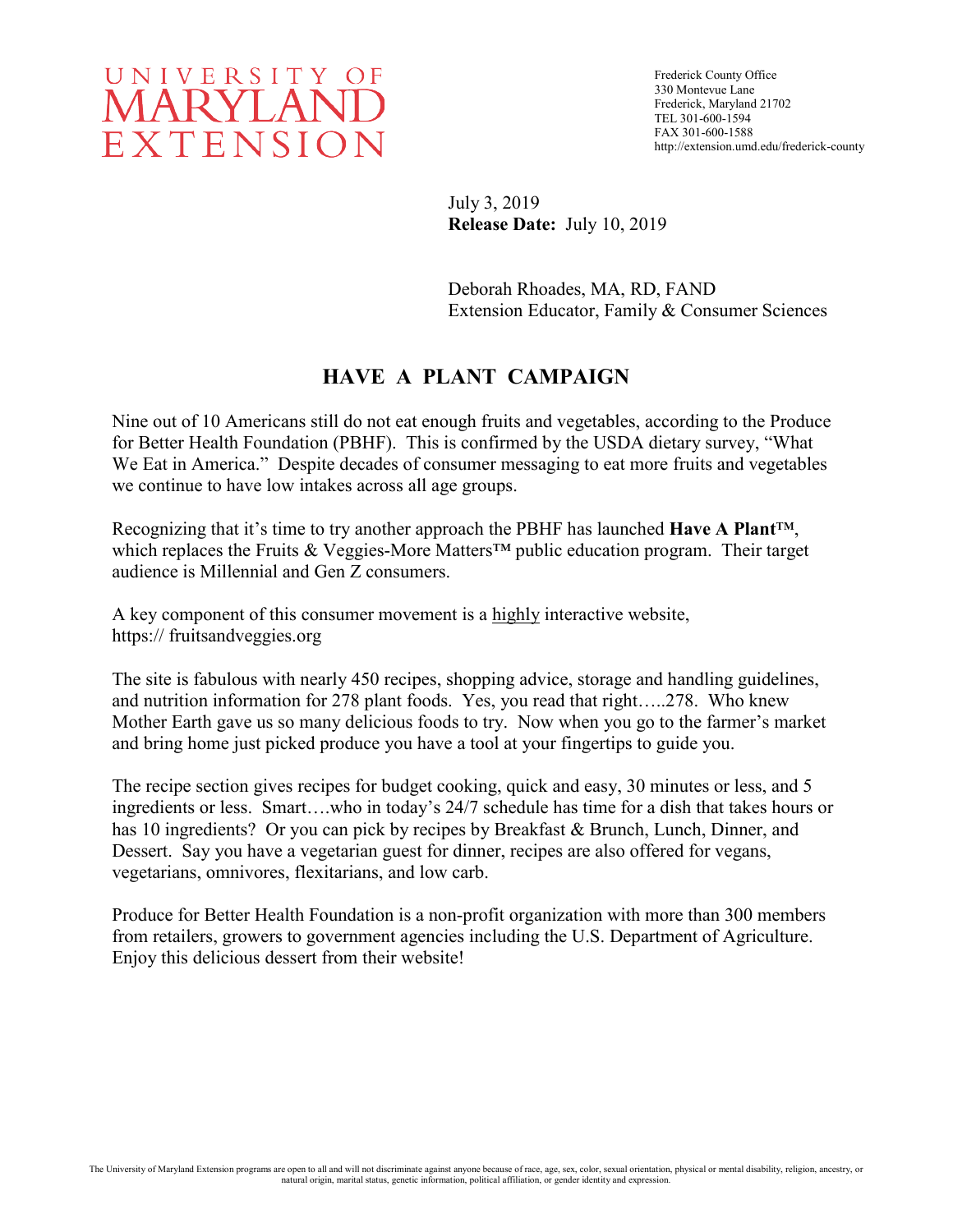

Frederick County Office 330 Montevue Lane Frederick, Maryland 21702 TEL 301-600-1594 FAX 301-600-1588 http://extension.umd.edu/frederick-county

July 3, 2019 **Release Date:** July 10, 2019

Deborah Rhoades, MA, RD, FAND Extension Educator, Family & Consumer Sciences

## **HAVE A PLANT CAMPAIGN**

Nine out of 10 Americans still do not eat enough fruits and vegetables, according to the Produce for Better Health Foundation (PBHF). This is confirmed by the USDA dietary survey, "What We Eat in America." Despite decades of consumer messaging to eat more fruits and vegetables we continue to have low intakes across all age groups.

Recognizing that it's time to try another approach the PBHF has launched **Have A Plant**™, which replaces the Fruits & Veggies-More Matters<sup>™</sup> public education program. Their target audience is Millennial and Gen Z consumers.

A key component of this consumer movement is a highly interactive website, https:// fruitsandveggies.org

The site is fabulous with nearly 450 recipes, shopping advice, storage and handling guidelines, and nutrition information for 278 plant foods. Yes, you read that right…..278. Who knew Mother Earth gave us so many delicious foods to try. Now when you go to the farmer's market and bring home just picked produce you have a tool at your fingertips to guide you.

The recipe section gives recipes for budget cooking, quick and easy, 30 minutes or less, and 5 ingredients or less. Smart….who in today's 24/7 schedule has time for a dish that takes hours or has 10 ingredients? Or you can pick by recipes by Breakfast & Brunch, Lunch, Dinner, and Dessert. Say you have a vegetarian guest for dinner, recipes are also offered for vegans, vegetarians, omnivores, flexitarians, and low carb.

Produce for Better Health Foundation is a non-profit organization with more than 300 members from retailers, growers to government agencies including the U.S. Department of Agriculture. Enjoy this delicious dessert from their website!